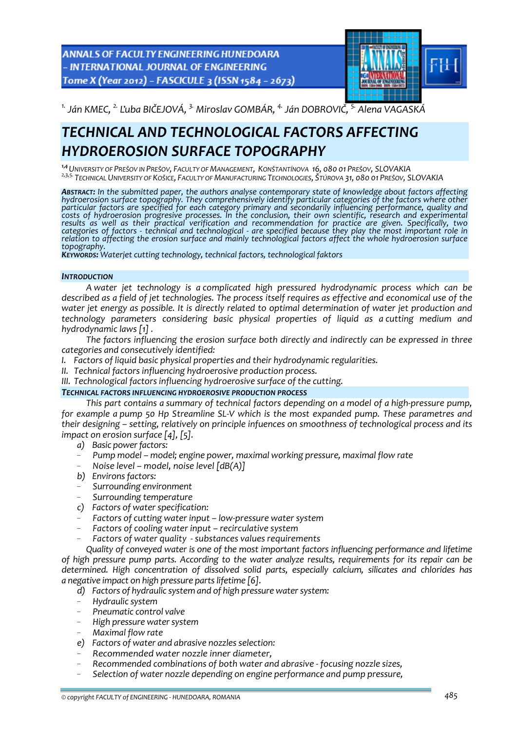**ANNALS OF FACULTY ENGINEERING HUNEDOARA** - INTERNATIONAL JOURNAL OF ENGINEERING Tome X (Year 2012) - FASCICULE 3 (ISSN 1584 - 2673)



<sup>1.</sup> Ján KMEC, <sup>2.</sup> Ľuba BIČEJOVÁ, <sup>3.</sup> Miroslav GOMBÁR, <sup>4.</sup> Ján DOBROVIČ, <sup>5.</sup> Alena VAGASKÁ

# *TECHNICAL AND TECHNOLOGICAL FACTORS AFFECTING HYDROEROSION SURFACE TOPOGRAPHY*

*1,4UNIVERSITY OF PREŠOV IN PREŠOV, FACULTY OF MANAGEMENT, KONŠTANTÍNOVA 16, 080 01 PREŠOV, SLOVAKIA 2,3,5. TECHNICAL UNIVERSITY OF KOŠICE, FACULTY OF MANUFACTURING TECHNOLOGIES, ŠTÚROVA 31, 080 01 PREŠOV, SLOVAKIA*

**Abstract:** In the submitted paper, the authors analyse contemporary state of knowledge about factors affecting<br>hydroerosion surface topography. They comprehensively identify particular categories of the factors where othe *particular factors are specified for each category primary and secondarily influencing performance, quality and* costs of hydroerosion progresive processes. In the conclusion, their own scientific, research and experimental<br>results as well as their practical verification and recommendation for practice are given. Specifically, two results as well as their practical verification and recommendation for practice are given. Specifically, two<br>categories of factors - technical and technological - are specified because they play the most important role in relation to affecting the erosion surface and mainly technological factors affect the whole hydroerosion surface<br>topography.<br>Keywords: Wateriet cutting technology, technical factors, technological faktors

## *INTRODUCTION*

*A water jet technology is a complicated high pressured hydrodynamic process which can be* described as a field of jet technologies. The process itself requires as effective and economical use of the *water jet energy as possible. It is directly related to optimal determination of water jet production and technology parameters considering basic physical properties of liquid as a cutting medium and hydrodynamic laws [1] .*

*The factors influencing the erosion surface both directly and indirectly can be expressed in three categories and consecutively identified:*

- *I. Factors of liquid basic physical properties and their hydrodynamic regularities.*
- *II. Technical factors influencing hydroerosive production process.*
- *III. Technological factors influencing hydroerosive surface of the cutting.*

#### *TECHNICAL FACTORS INFLUENCING HYDROEROSIVE PRODUCTION PROCESS*

*This part contains a summary of technical factors depending on a model of a high‐pressure pump,* for example a pump 50 Hp Streamline SL-V which is the most expanded pump. These parametres and *their designing – setting, relatively on principle infuences on smoothness of technological process and its impact on erosion surface [4], [5].*

- *a) Basic powerfactors:*
- *Pump model – model; engine power, maximal working pressure, maximal flow rate*
- *Noise level – model, noise level [dB(A)]*
- *b) Environsfactors:*
- *Surrounding environment*
- *Surrounding temperature*
- *c) Factors of water specification:*
- *Factors of cutting water input – low‐pressure water system*
- *Factors of cooling water input – recirculative system*
- *Factors of water quality ‐ substances values requirements*

*Quality of conveyed water is one of the most important factors influencing performance and lifetime of high pressure pump parts. According to the water analyze results, requirements for its repair can be determined. High concentration of dissolved solid parts, especially calcium, silicates and chlorides has a negative impact on high pressure partslifetime [6].*

- *d) Factors of hydraulic system and of high pressure watersystem:*
- *Hydraulic system*
- *Pneumatic control valve*
- *High pressure watersystem*
- *Maximal flow rate*
- *e) Factors of water and abrasive nozzles selection:*
- *Recommended water nozzle inner diameter,*
- *Recommended combinations of both water and abrasive ‐ focusing nozzle sizes,*
- *Selection of water nozzle depending on engine performance and pump pressure,*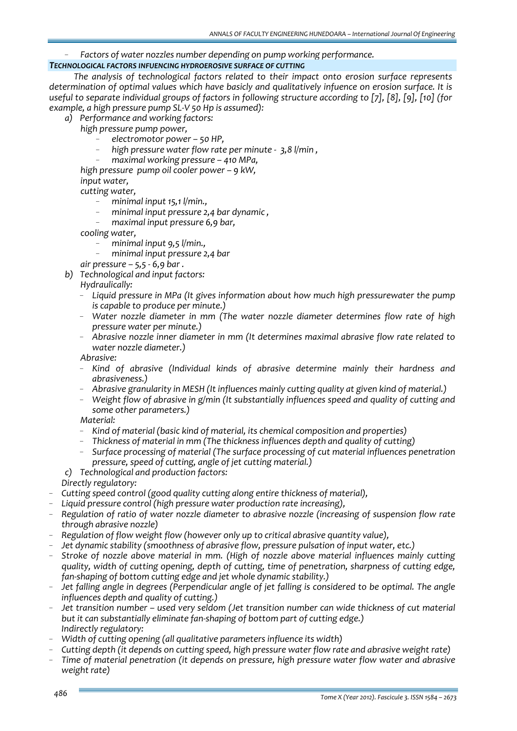# - *Factors of water nozzles number depending on pump working performance.*

# *TECHNOLOGICAL FACTORS INFUENCING HYDROEROSIVE SURFACE OF CUTTING*

*The analysis of technological factors related to their impact onto erosion surface represents determination of optimal values which have basicly and qualitatively infuence on erosion surface. It is* useful to separate individual groups of factors in following structure according to [7], [8], [9], [10] (for *example, a high pressure pump SL‐V 50 Hp is assumed):* 

- *a) Performance and working factors:*
	- *high pressure pump power,* 
		- *electromotor power – 50 HP,*
		- *high pressure water flow rate per minute ‐ 3,8 l/min ,*
		- *maximal working pressure – 410 MPa,*

 *high pressure pump oil cooler power – 9 kW, input water, cutting water,* 

- *minimal input 15,1 l/min.,*
- *minimal input pressure 2,4 bar dynamic ,*
- *maximal input pressure 6,9 bar,*

*cooling water,*

- *minimal input 9,5 l/min.,*
- *minimal input pressure 2,4 bar*

*air pressure – 5,5 ‐ 6,9 bar .*

*b) Technological and input factors:*

*Hydraulically:*

- *Liquid pressure in MPa (It gives information about how much high pressurewater the pump is capable to produce per minute.)*
- *Water nozzle diameter in mm (The water nozzle diameter determines flow rate of high pressure water per minute.)*
- *Abrasive nozzle inner diameter in mm (It determines maximal abrasive flow rate related to water nozzle diameter.)*

*Abrasive:*

- *Kind of abrasive (Individual kinds of abrasive determine mainly their hardness and abrasiveness.)*
- *Abrasive granularity in MESH (It influences mainly cutting quality at given kind of material.)*
- *Weight flow of abrasive in g/min (It substantially influences speed and quality of cutting and some other parameters.)*

*Material:*

- *Kind of material (basic kind of material, its chemical composition and properties)*
- *Thickness of material in mm (The thickness influences depth and quality of cutting)*
- *Surface processing of material (The surface processing of cut material influences penetration pressure, speed of cutting, angle of jet cutting material.)*
- *c) Technological and production factors:*

*Directly regulatory:*

- *Cutting speed control (good quality cutting along entire thickness of material),*
- *Liquid pressure control (high pressure water production rate increasing),*
- *Regulation of ratio of water nozzle diameter to abrasive nozzle (increasing of suspension flow rate through abrasive nozzle)*
- *Regulation of flow weight flow (however only up to critical abrasive quantity value),*
- *Jet dynamic stability (smoothness of abrasive flow, pressure pulsation of input water, etc.)*
- *Stroke of nozzle above material in mm. (High of nozzle above material influences mainly cutting quality, width of cutting opening, depth of cutting, time of penetration, sharpness of cutting edge, fan‐shaping of bottom cutting edge and jet whole dynamic stability.)*
- *Jet falling angle in degrees (Perpendicular angle of jet falling is considered to be optimal. The angle influences depth and quality of cutting.)*
- *Jet transition number – used very seldom (Jet transition number can wide thickness of cut material but it can substantially eliminate fan‐shaping of bottom part of cutting edge.) Indirectly regulatory:*
- *Width of cutting opening (all qualitative parameters influence its width)*
- *Cutting depth (it depends on cutting speed, high pressure water flow rate and abrasive weight rate)*
- *Time of material penetration (it depends on pressure, high pressure water flow water and abrasive weight rate)*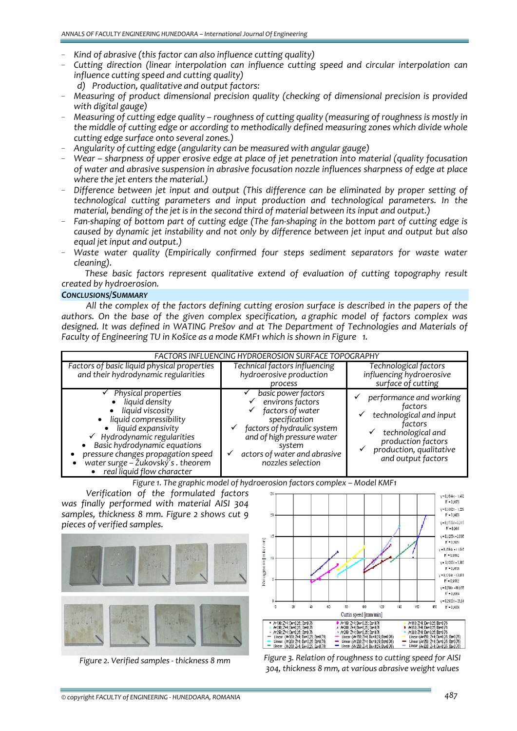- *Kind of abrasive (this factor can also influence cutting quality)*
- *Cutting direction (linear interpolation can influence cutting speed and circular interpolation can influence cutting speed and cutting quality)* 
	- *d) Production, qualitative and output factors:*
- *Measuring of product dimensional precision quality (checking of dimensional precision is provided with digital gauge)*
- *Measuring of cutting edge quality – roughness of cutting quality (measuring of roughness is mostly in the middle of cutting edge or according to methodically defined measuring zones which divide whole cutting edge surface onto several zones.)*
- *Angularity of cutting edge (angularity can be measured with angular gauge)*
- *Wear – sharpness of upper erosive edge at place of jet penetration into material (quality focusation of water and abrasive suspension in abrasive focusation nozzle influences sharpness of edge at place where the jet enters the material.)*
- *Difference between jet input and output (This difference can be eliminated by proper setting of technological cutting parameters and input production and technological parameters. In the material, bending of the jet is in the second third of material between its input and output.)*
- Fan-shaping of bottom part of cutting edge (The fan-shaping in the bottom part of cutting edge is *caused by dynamic jet instability and not only by difference between jet input and output but also equal jet input and output.)*
- *Waste water quality (Empirically confirmed four steps sediment separators for waste water cleaning).*

*These basic factors represent qualitative extend of evaluation of cutting topography result created by hydroerosion.*

#### *CONCLUSIONS/SUMMARY*

*All the complex of the factors defining cutting erosion surface is described in the papers of the authors. On the base of the given complex specification, a graphic model of factors complex was designed. It was defined in WATING Prešov and at The Department of Technologies and Materials of Faculty of Engineering TU in Košice as a mode KMF1 which is shown in Figure 1.*

| FACTORS INFLUENCING HYDROEROSION SURFACE TOPOGRAPHY                                                                                                                                                                                                                                                          |                                                                                                                                                                                                                    |                                                                                                                                                                      |
|--------------------------------------------------------------------------------------------------------------------------------------------------------------------------------------------------------------------------------------------------------------------------------------------------------------|--------------------------------------------------------------------------------------------------------------------------------------------------------------------------------------------------------------------|----------------------------------------------------------------------------------------------------------------------------------------------------------------------|
| Factors of basic liquid physical properties<br>and their hydrodynamic regularities                                                                                                                                                                                                                           | Technical factors influencing<br>hydroerosive production<br>process                                                                                                                                                | Technological factors<br>influencing hydroerosive<br>surface of cutting                                                                                              |
| Physical properties<br>liquid density<br>liquid viscosity<br>$\bullet$<br>• liquid compressibility<br>liquid expansivity<br>$\checkmark$ Hydrodynamic regularities<br>Basic hydrodynamic equations<br>pressure changes propagation speed<br>water surge - Žukovský's . theorem<br>real liquid flow character | basic power factors<br>environs factors<br>factors of water<br>specification<br>factors of hydraulic system<br>✓<br>and of high pressure water<br>system<br>actors of water and abrasive<br>✓<br>nozzles selection | performance and working<br>factors<br>technological and input<br>factors<br>technological and<br>production factors<br>production, qualitative<br>and output factors |

*Figure 1. The graphic model of hydroerosion factors complex – Model KMF1*

*Verification of the formulated factors was finally performed with material AISI 304 samples, thickness 8 mm. Figure 2 shows cut 9 pieces of verified samples.*





Figure 2. Verified samples - thickness 8 mm Figure 3. Relation of roughness to cutting speed for AISI *304, thickness 8 mm, at various abrasive weight values*